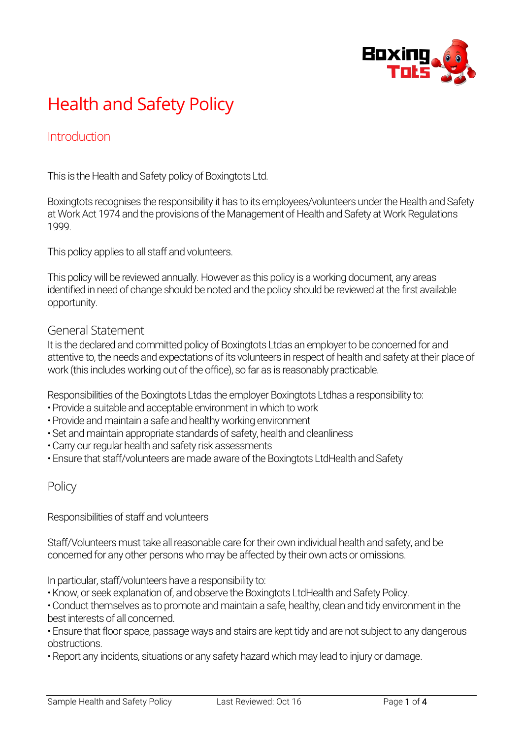

# Health and Safety Policy

## **Introduction**

This is the Health and Safety policy of Boxingtots Ltd.

Boxingtots recognises the responsibility it has to its employees/volunteers under the Health and Safety at Work Act 1974 and the provisions of the Management of Health and Safety at Work Regulations 1999.

This policy applies to all staff and volunteers.

This policy will be reviewed annually. However as this policy is a working document, any areas identified in need of change should be noted and the policy should be reviewed at the first available opportunity.

#### General Statement

It is the declared and committed policy of Boxingtots Ltdas an employer to be concerned for and attentive to, the needs and expectations of its volunteers in respect of health and safety at their place of work (this includes working out of the office), so far as is reasonably practicable.

Responsibilities of the Boxingtots Ltdas the employer Boxingtots Ltdhas a responsibility to:

- Provide a suitable and acceptable environment in which to work
- Provide and maintain a safe and healthy working environment
- Set and maintain appropriate standards of safety, health and cleanliness
- Carry our regular health and safety risk assessments
- Ensure that staff/volunteers are made aware of the Boxingtots LtdHealth and Safety

### **Policy**

Responsibilities of staff and volunteers

Staff/Volunteers must take all reasonable care for their own individual health and safety, and be concerned for any other persons who may be affected by their own acts or omissions.

In particular, staff/volunteers have a responsibility to:

- Know, or seek explanation of, and observe the Boxingtots LtdHealth and Safety Policy.
- Conduct themselves as to promote and maintain a safe, healthy, clean and tidy environment in the best interests of all concerned.
- Ensure that floor space, passage ways and stairs are kept tidy and are not subject to any dangerous obstructions.
- Report any incidents, situations or any safety hazard which may lead to injury or damage.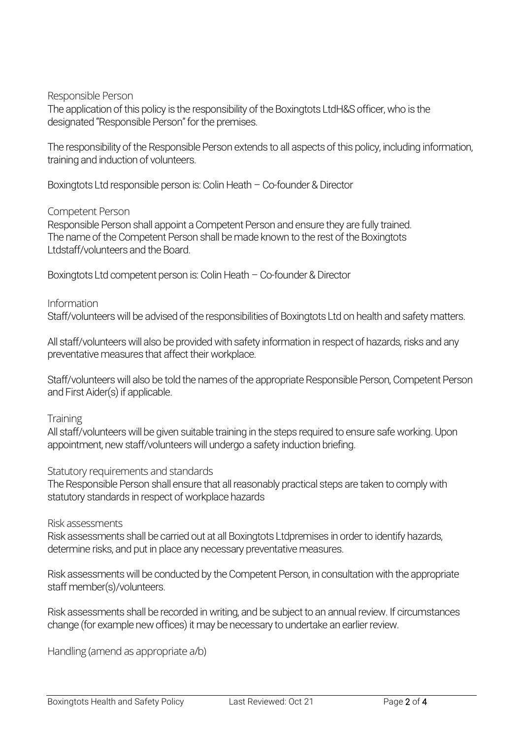Responsible Person

The application of this policy is the responsibility of the Boxingtots LtdH&S officer, who is the designated "Responsible Person" for the premises.

The responsibility of the Responsible Person extends to all aspects of this policy, including information, training and induction of volunteers.

Boxingtots Ltd responsible person is: Colin Heath – Co-founder & Director

#### Competent Person

Responsible Person shall appoint a Competent Person and ensure they are fully trained. The name of the Competent Person shall be made known to the rest of the Boxingtots Ltdstaff/volunteers and the Board.

Boxingtots Ltd competent person is: Colin Heath – Co-founder & Director

#### Information

Staff/volunteers will be advised of the responsibilities of Boxingtots Ltd on health and safety matters.

All staff/volunteers will also be provided with safety information in respect of hazards, risks and any preventative measures that affect their workplace.

Staff/volunteers will also be told the names of the appropriate Responsible Person, Competent Person and First Aider(s) if applicable.

**Training** 

All staff/volunteers will be given suitable training in the steps required to ensure safe working. Upon appointment, new staff/volunteers will undergo a safety induction briefing.

Statutory requirements and standards

The Responsible Person shall ensure that all reasonably practical steps are taken to comply with statutory standards in respect of workplace hazards

#### Risk assessments

Risk assessments shall be carried out at all Boxingtots Ltdpremises in order to identify hazards, determine risks, and put in place any necessary preventative measures.

Risk assessments will be conducted by the Competent Person, in consultation with the appropriate staff member(s)/volunteers.

Risk assessments shall be recorded in writing, and be subject to an annual review. If circumstances change (for example new offices) it may be necessary to undertake an earlier review.

Handling (amend as appropriate a/b)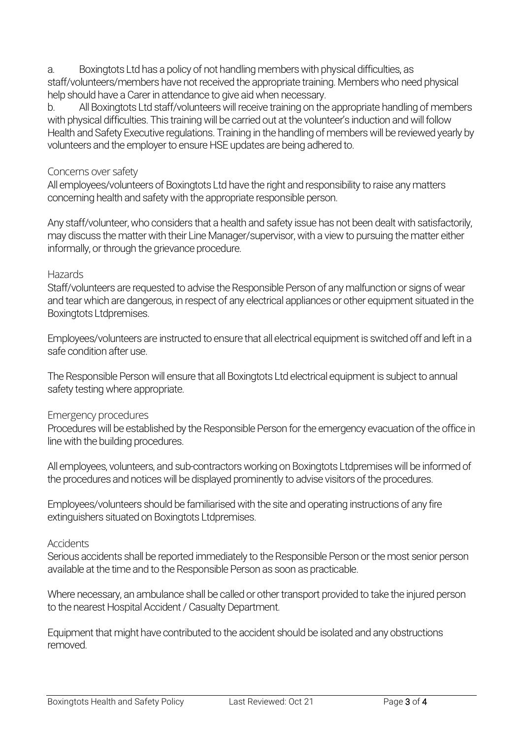a. Boxingtots Ltd has a policy of not handling members with physical difficulties, as staff/volunteers/members have not received the appropriate training. Members who need physical help should have a Carer in attendance to give aid when necessary.

b. All Boxingtots Ltd staff/volunteers will receive training on the appropriate handling of members with physical difficulties. This training will be carried out at the volunteer's induction and will follow Health and Safety Executive regulations. Training in the handling of members will be reviewed yearly by volunteers and the employer to ensure HSE updates are being adhered to.

#### Concerns over safety

All employees/volunteers of Boxingtots Ltd have the right and responsibility to raise any matters concerning health and safety with the appropriate responsible person.

Any staff/volunteer, who considers that a health and safety issue has not been dealt with satisfactorily, may discuss the matter with their Line Manager/supervisor, with a view to pursuing the matter either informally, or through the grievance procedure.

#### **Hazards**

Staff/volunteers are requested to advise the Responsible Person of any malfunction or signs of wear and tear which are dangerous, in respect of any electrical appliances or other equipment situated in the Boxingtots Ltdpremises.

Employees/volunteers are instructed to ensure that all electrical equipment is switched off and left in a safe condition after use.

The Responsible Person will ensure that all Boxingtots Ltd electrical equipment is subject to annual safety testing where appropriate.

#### Emergency procedures

Procedures will be established by the Responsible Person for the emergency evacuation of the office in line with the building procedures.

All employees, volunteers, and sub-contractors working on Boxingtots Ltdpremises will be informed of the procedures and notices will be displayed prominently to advise visitors of the procedures.

Employees/volunteers should be familiarised with the site and operating instructions of any fire extinguishers situated on Boxingtots Ltdpremises.

#### **Accidents**

Serious accidents shall be reported immediately to the Responsible Person or the most senior person available at the time and to the Responsible Person as soon as practicable.

Where necessary, an ambulance shall be called or other transport provided to take the injured person to the nearest Hospital Accident / Casualty Department.

Equipment that might have contributed to the accident should be isolated and any obstructions removed.